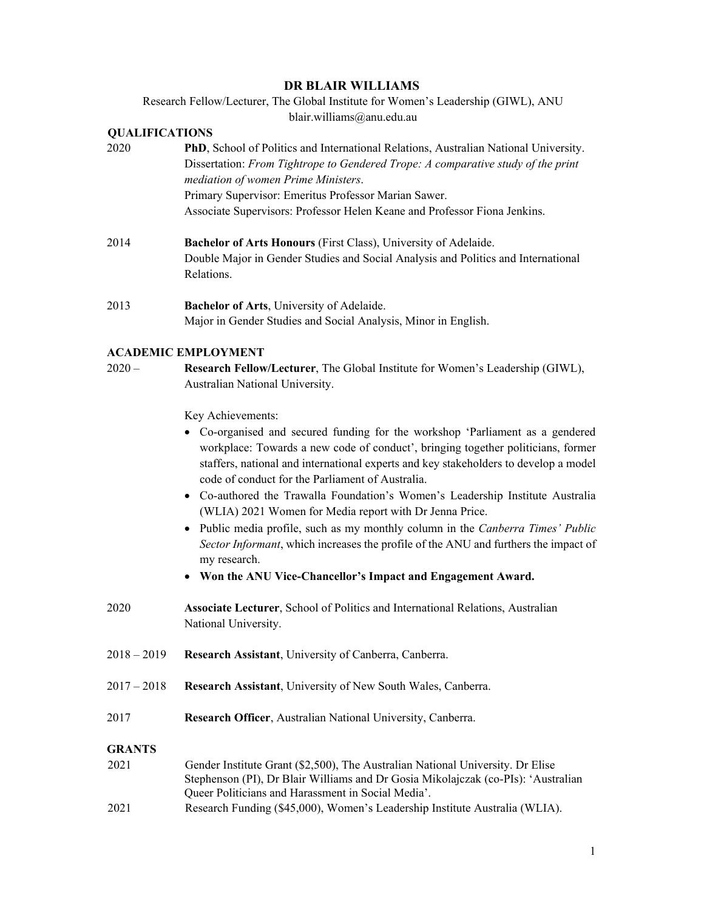## **DR BLAIR WILLIAMS**

Research Fellow/Lecturer, The Global Institute for Women's Leadership (GIWL), ANU blair.williams@anu.edu.au

# **QUALIFICATIONS**

| 2020 | <b>PhD</b> , School of Politics and International Relations, Australian National University. |
|------|----------------------------------------------------------------------------------------------|
|      | Dissertation: From Tightrope to Gendered Trope: A comparative study of the print             |
|      | mediation of women Prime Ministers.                                                          |
|      | Primary Supervisor: Emeritus Professor Marian Sawer.                                         |
|      | Associate Supervisors: Professor Helen Keane and Professor Fiona Jenkins.                    |

- 2014 **Bachelor of Arts Honours** (First Class), University of Adelaide. Double Major in Gender Studies and Social Analysis and Politics and International Relations.
- 2013 **Bachelor of Arts**, University of Adelaide. Major in Gender Studies and Social Analysis, Minor in English.

#### **ACADEMIC EMPLOYMENT**

| $2020 -$ | <b>Research Fellow/Lecturer</b> , The Global Institute for Women's Leadership (GIWL), |
|----------|---------------------------------------------------------------------------------------|
|          | Australian National University.                                                       |

Key Achievements:

- Co-organised and secured funding for the workshop 'Parliament as a gendered workplace: Towards a new code of conduct', bringing together politicians, former staffers, national and international experts and key stakeholders to develop a model code of conduct for the Parliament of Australia.
- Co-authored the Trawalla Foundation's Women's Leadership Institute Australia (WLIA) 2021 Women for Media report with Dr Jenna Price.
- Public media profile, such as my monthly column in the *Canberra Times' Public Sector Informant*, which increases the profile of the ANU and furthers the impact of my research.
- **Won the ANU Vice-Chancellor's Impact and Engagement Award.**
- 2020 **Associate Lecturer**, School of Politics and International Relations, Australian National University.
- 2018 2019 **Research Assistant**, University of Canberra, Canberra.
- 2017 2018 **Research Assistant**, University of New South Wales, Canberra.
- 2017 **Research Officer**, Australian National University, Canberra.

#### **GRANTS**

- 2021 Gender Institute Grant (\$2,500), The Australian National University. Dr Elise Stephenson (PI), Dr Blair Williams and Dr Gosia Mikolajczak (co-PIs): 'Australian Queer Politicians and Harassment in Social Media'.
- 2021 Research Funding (\$45,000), Women's Leadership Institute Australia (WLIA).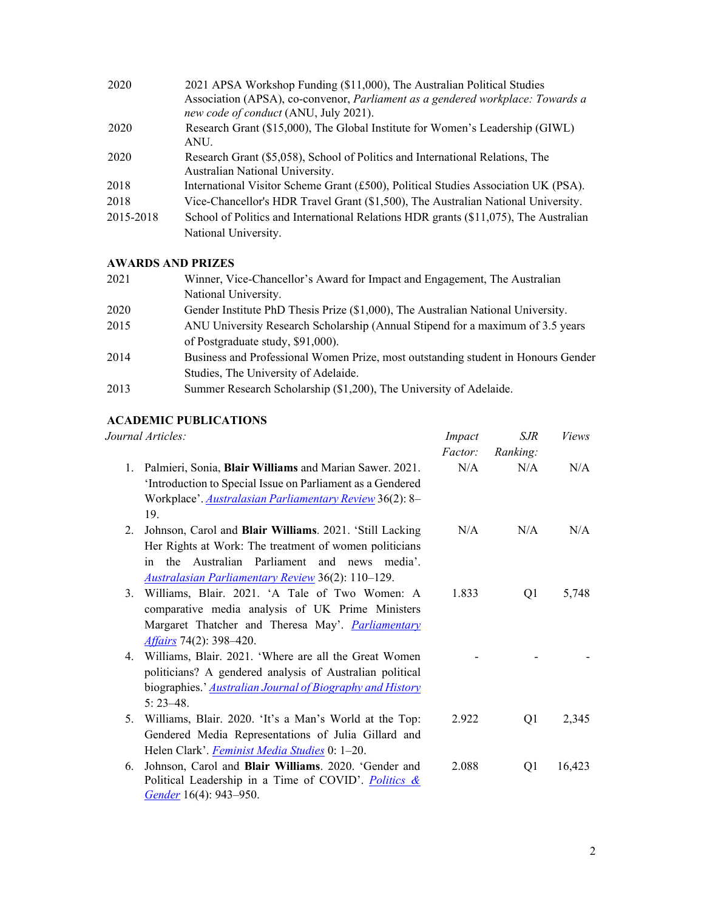| 2020      | 2021 APSA Workshop Funding (\$11,000), The Australian Political Studies                                                 |
|-----------|-------------------------------------------------------------------------------------------------------------------------|
|           | Association (APSA), co-convenor, Parliament as a gendered workplace: Towards a<br>new code of conduct (ANU, July 2021). |
|           |                                                                                                                         |
| 2020      | Research Grant (\$15,000), The Global Institute for Women's Leadership (GIWL)                                           |
|           | ANU.                                                                                                                    |
| 2020      | Research Grant (\$5,058), School of Politics and International Relations, The                                           |
|           | Australian National University.                                                                                         |
| 2018      | International Visitor Scheme Grant (£500), Political Studies Association UK (PSA).                                      |
| 2018      | Vice-Chancellor's HDR Travel Grant (\$1,500), The Australian National University.                                       |
| 2015-2018 | School of Politics and International Relations HDR grants (\$11,075), The Australian                                    |
|           | National University.                                                                                                    |
|           |                                                                                                                         |

# **AWARDS AND PRIZES**

| 2021 | Winner, Vice-Chancellor's Award for Impact and Engagement, The Australian         |
|------|-----------------------------------------------------------------------------------|
|      | National University.                                                              |
| 2020 | Gender Institute PhD Thesis Prize (\$1,000), The Australian National University.  |
| 2015 | ANU University Research Scholarship (Annual Stipend for a maximum of 3.5 years    |
|      | of Postgraduate study, \$91,000).                                                 |
| 2014 | Business and Professional Women Prize, most outstanding student in Honours Gender |
|      | Studies, The University of Adelaide.                                              |
| 2013 | Summer Research Scholarship (\$1,200), The University of Adelaide.                |

# **ACADEMIC PUBLICATIONS**

| Journal Articles:                                                                                                                                                                                                                       | Impact<br><i>Factor:</i> | SJR<br>Ranking: | <i>Views</i> |
|-----------------------------------------------------------------------------------------------------------------------------------------------------------------------------------------------------------------------------------------|--------------------------|-----------------|--------------|
| 1. Palmieri, Sonia, Blair Williams and Marian Sawer. 2021.<br>'Introduction to Special Issue on Parliament as a Gendered<br>Workplace'. Australasian Parliamentary Review 36(2): 8-                                                     | N/A                      | N/A             | N/A          |
| 19.                                                                                                                                                                                                                                     |                          |                 |              |
| Johnson, Carol and Blair Williams. 2021. 'Still Lacking<br>2.<br>Her Rights at Work: The treatment of women politicians<br>Australian Parliament and news media'.<br>in the<br><b>Australasian Parliamentary Review 36(2): 110–129.</b> | N/A                      | N/A             | N/A          |
| 3. Williams, Blair. 2021. 'A Tale of Two Women: A<br>comparative media analysis of UK Prime Ministers<br>Margaret Thatcher and Theresa May'. <i>Parliamentary</i><br><i>Affairs</i> 74(2): 398–420.                                     | 1.833                    | Q1              | 5,748        |
| 4. Williams, Blair. 2021. 'Where are all the Great Women<br>politicians? A gendered analysis of Australian political<br>biographies.' <b>Australian Journal of Biography and History</b><br>$5:23-48.$                                  |                          |                 |              |
| 5. Williams, Blair. 2020. 'It's a Man's World at the Top:<br>Gendered Media Representations of Julia Gillard and<br>Helen Clark'. Feminist Media Studies 0: 1-20.                                                                       | 2.922                    | Q1              | 2,345        |
| Johnson, Carol and Blair Williams. 2020. 'Gender and<br>6.<br>Political Leadership in a Time of COVID'. Politics $\&$<br>Gender 16(4): 943–950.                                                                                         | 2.088                    | Q1              | 16,423       |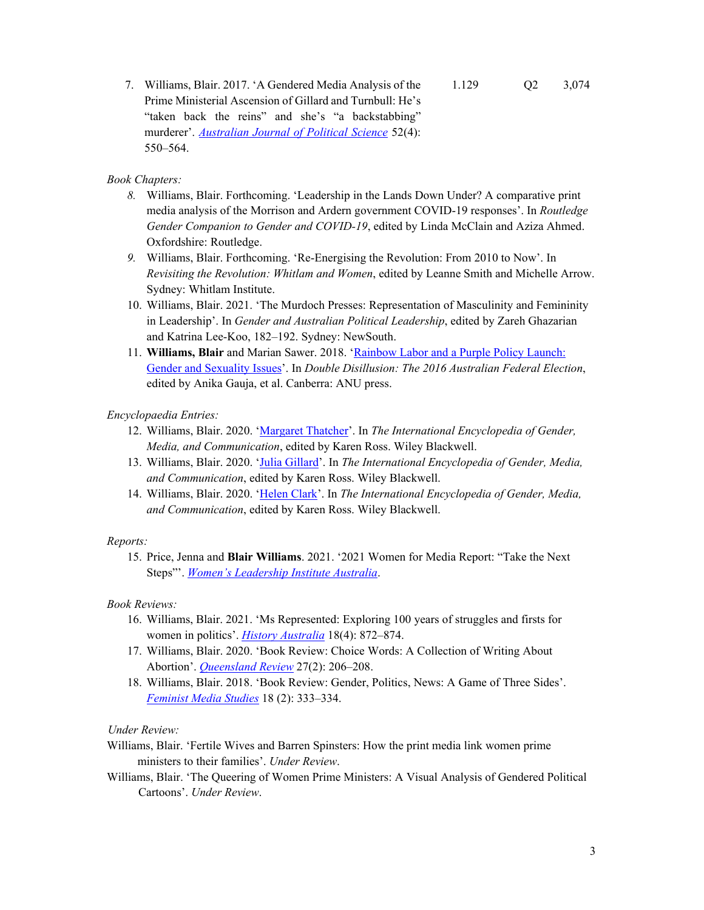7. Williams, Blair. 2017. 'A Gendered Media Analysis of the Prime Ministerial Ascension of Gillard and Turnbull: He's "taken back the reins" and she's "a backstabbing" murderer'. *Australian Journal of Political Science* 52(4): 550–564. 1.129 Q2 3,074

## *Book Chapters:*

- *8.* Williams, Blair. Forthcoming. 'Leadership in the Lands Down Under? A comparative print media analysis of the Morrison and Ardern government COVID-19 responses'. In *Routledge Gender Companion to Gender and COVID-19*, edited by Linda McClain and Aziza Ahmed. Oxfordshire: Routledge.
- *9.* Williams, Blair. Forthcoming. 'Re-Energising the Revolution: From 2010 to Now'. In *Revisiting the Revolution: Whitlam and Women*, edited by Leanne Smith and Michelle Arrow. Sydney: Whitlam Institute.
- 10. Williams, Blair. 2021. 'The Murdoch Presses: Representation of Masculinity and Femininity in Leadership'. In *Gender and Australian Political Leadership*, edited by Zareh Ghazarian and Katrina Lee-Koo, 182–192. Sydney: NewSouth.
- 11. **Williams, Blair** and Marian Sawer. 2018. 'Rainbow Labor and a Purple Policy Launch: Gender and Sexuality Issues'. In *Double Disillusion: The 2016 Australian Federal Election*, edited by Anika Gauja, et al. Canberra: ANU press.

## *Encyclopaedia Entries:*

- 12. Williams, Blair. 2020. 'Margaret Thatcher'. In *The International Encyclopedia of Gender, Media, and Communication*, edited by Karen Ross. Wiley Blackwell.
- 13. Williams, Blair. 2020. 'Julia Gillard'. In *The International Encyclopedia of Gender, Media, and Communication*, edited by Karen Ross. Wiley Blackwell.
- 14. Williams, Blair. 2020. 'Helen Clark'. In *The International Encyclopedia of Gender, Media, and Communication*, edited by Karen Ross. Wiley Blackwell.

### *Reports:*

15. Price, Jenna and **Blair Williams**. 2021. '2021 Women for Media Report: "Take the Next Steps"'. *Women's Leadership Institute Australia*.

### *Book Reviews:*

- 16. Williams, Blair. 2021. 'Ms Represented: Exploring 100 years of struggles and firsts for women in politics'. *History Australia* 18(4): 872–874.
- 17. Williams, Blair. 2020. 'Book Review: Choice Words: A Collection of Writing About Abortion'. *Queensland Review* 27(2): 206–208.
- 18. Williams, Blair. 2018. 'Book Review: Gender, Politics, News: A Game of Three Sides'. *Feminist Media Studies* 18 (2): 333–334.

### *Under Review:*

- Williams, Blair. 'Fertile Wives and Barren Spinsters: How the print media link women prime ministers to their families'. *Under Review*.
- Williams, Blair. 'The Queering of Women Prime Ministers: A Visual Analysis of Gendered Political Cartoons'. *Under Review*.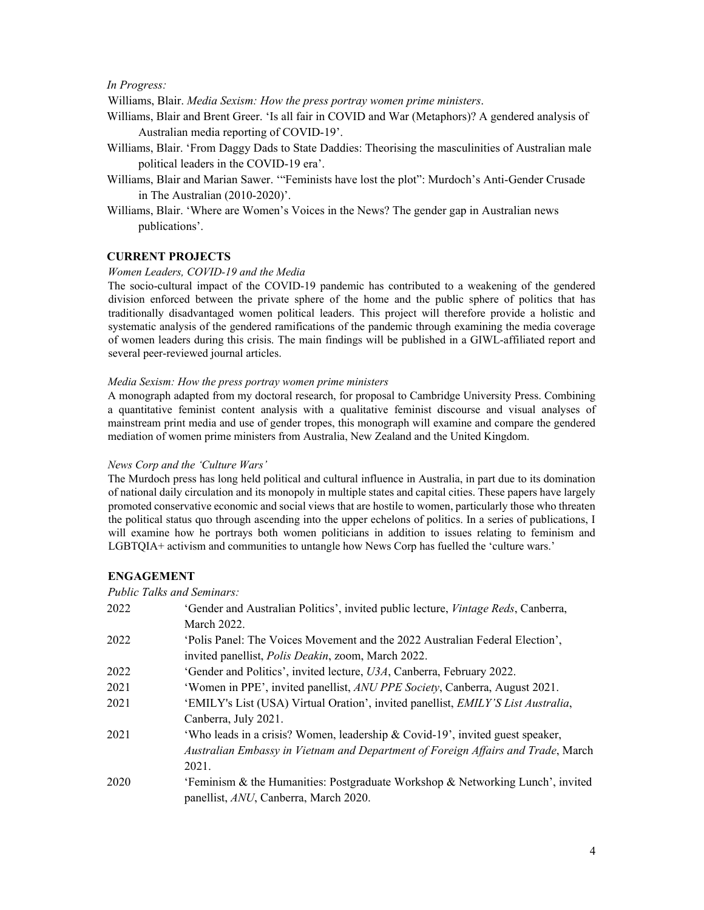#### *In Progress:*

Williams, Blair. *Media Sexism: How the press portray women prime ministers*.

- Williams, Blair and Brent Greer. 'Is all fair in COVID and War (Metaphors)? A gendered analysis of Australian media reporting of COVID-19'.
- Williams, Blair. 'From Daggy Dads to State Daddies: Theorising the masculinities of Australian male political leaders in the COVID-19 era'.
- Williams, Blair and Marian Sawer. '"Feminists have lost the plot": Murdoch's Anti-Gender Crusade in The Australian (2010-2020)'.
- Williams, Blair. 'Where are Women's Voices in the News? The gender gap in Australian news publications'.

#### **CURRENT PROJECTS**

#### *Women Leaders, COVID-19 and the Media*

The socio-cultural impact of the COVID-19 pandemic has contributed to a weakening of the gendered division enforced between the private sphere of the home and the public sphere of politics that has traditionally disadvantaged women political leaders. This project will therefore provide a holistic and systematic analysis of the gendered ramifications of the pandemic through examining the media coverage of women leaders during this crisis. The main findings will be published in a GIWL-affiliated report and several peer-reviewed journal articles.

#### *Media Sexism: How the press portray women prime ministers*

A monograph adapted from my doctoral research, for proposal to Cambridge University Press. Combining a quantitative feminist content analysis with a qualitative feminist discourse and visual analyses of mainstream print media and use of gender tropes, this monograph will examine and compare the gendered mediation of women prime ministers from Australia, New Zealand and the United Kingdom.

#### *News Corp and the 'Culture Wars'*

The Murdoch press has long held political and cultural influence in Australia, in part due to its domination of national daily circulation and its monopoly in multiple states and capital cities. These papers have largely promoted conservative economic and social views that are hostile to women, particularly those who threaten the political status quo through ascending into the upper echelons of politics. In a series of publications, I will examine how he portrays both women politicians in addition to issues relating to feminism and LGBTQIA+ activism and communities to untangle how News Corp has fuelled the 'culture wars.'

### **ENGAGEMENT**

*Public Talks and Seminars:*

| 2022 | 'Gender and Australian Politics', invited public lecture, <i>Vintage Reds</i> , Canberra, |
|------|-------------------------------------------------------------------------------------------|
|      | March 2022.                                                                               |
| 2022 | 'Polis Panel: The Voices Movement and the 2022 Australian Federal Election',              |
|      | invited panellist, <i>Polis Deakin</i> , zoom, March 2022.                                |
| 2022 | 'Gender and Politics', invited lecture, U3A, Canberra, February 2022.                     |
| 2021 | 'Women in PPE', invited panellist, ANU PPE Society, Canberra, August 2021.                |
| 2021 | 'EMILY's List (USA) Virtual Oration', invited panellist, EMILY'S List Australia,          |
|      | Canberra, July 2021.                                                                      |
| 2021 | 'Who leads in a crisis? Women, leadership & Covid-19', invited guest speaker,             |
|      | Australian Embassy in Vietnam and Department of Foreign Affairs and Trade, March          |
|      | 2021.                                                                                     |
| 2020 | 'Feminism & the Humanities: Postgraduate Workshop & Networking Lunch', invited            |
|      | panellist, ANU, Canberra, March 2020.                                                     |
|      |                                                                                           |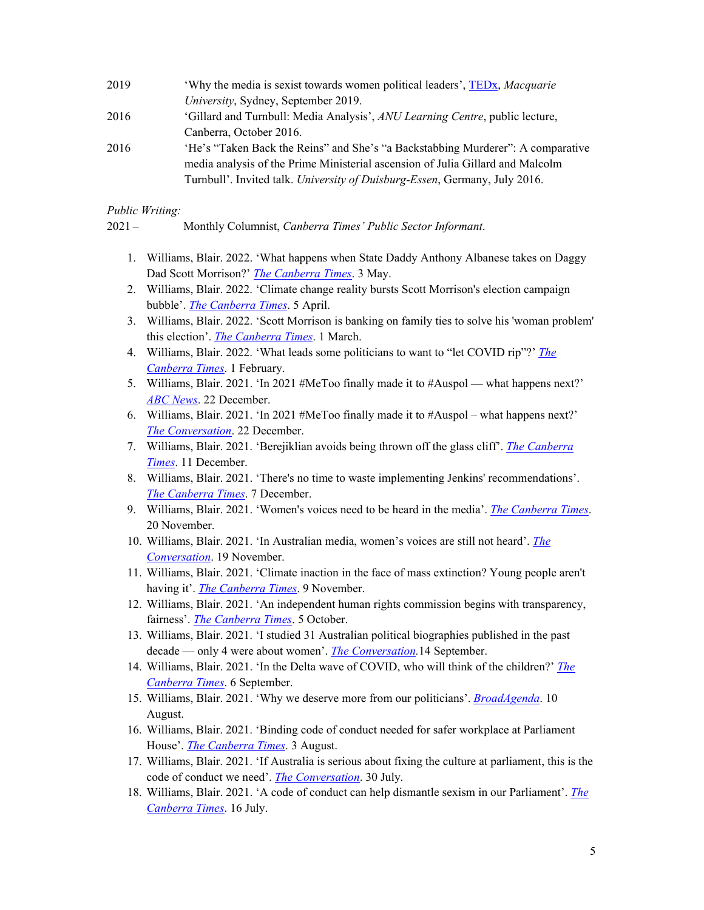| 2019 | 'Why the media is sexist towards women political leaders', TEDx, Macquarie      |
|------|---------------------------------------------------------------------------------|
|      | University, Sydney, September 2019.                                             |
| 2016 | 'Gillard and Turnbull: Media Analysis', ANU Learning Centre, public lecture,    |
|      | Canberra, October 2016.                                                         |
| 2016 | 'He's "Taken Back the Reins" and She's "a Backstabbing Murderer": A comparative |
|      | media analysis of the Prime Ministerial ascension of Julia Gillard and Malcolm  |
|      | Turnbull'. Invited talk. University of Duisburg-Essen, Germany, July 2016.      |
|      |                                                                                 |

*Public Writing:* 

2021 – Monthly Columnist, *Canberra Times' Public Sector Informant*.

- 1. Williams, Blair. 2022. 'What happens when State Daddy Anthony Albanese takes on Daggy Dad Scott Morrison?' *The Canberra Times*. 3 May.
- 2. Williams, Blair. 2022. 'Climate change reality bursts Scott Morrison's election campaign bubble'. *The Canberra Times*. 5 April.
- 3. Williams, Blair. 2022. 'Scott Morrison is banking on family ties to solve his 'woman problem' this election'. *The Canberra Times*. 1 March.
- 4. Williams, Blair. 2022. 'What leads some politicians to want to "let COVID rip"?' *The Canberra Times*. 1 February.
- 5. Williams, Blair. 2021. 'In 2021 #MeToo finally made it to #Auspol what happens next?' *ABC News*. 22 December.
- 6. Williams, Blair. 2021. 'In 2021 #MeToo finally made it to #Auspol what happens next?' *The Conversation*. 22 December.
- 7. Williams, Blair. 2021. 'Berejiklian avoids being thrown off the glass cliff'. *The Canberra Times*. 11 December.
- 8. Williams, Blair. 2021. 'There's no time to waste implementing Jenkins' recommendations'. *The Canberra Times*. 7 December.
- 9. Williams, Blair. 2021. 'Women's voices need to be heard in the media'. *The Canberra Times*. 20 November.
- 10. Williams, Blair. 2021. 'In Australian media, women's voices are still not heard'. *The Conversation*. 19 November.
- 11. Williams, Blair. 2021. 'Climate inaction in the face of mass extinction? Young people aren't having it'. *The Canberra Times*. 9 November.
- 12. Williams, Blair. 2021. 'An independent human rights commission begins with transparency, fairness'. *The Canberra Times*. 5 October.
- 13. Williams, Blair. 2021. 'I studied 31 Australian political biographies published in the past decade — only 4 were about women'. *The Conversation.*14 September.
- 14. Williams, Blair. 2021. 'In the Delta wave of COVID, who will think of the children?' *The Canberra Times*. 6 September.
- 15. Williams, Blair. 2021. 'Why we deserve more from our politicians'. *BroadAgenda*. 10 August.
- 16. Williams, Blair. 2021. 'Binding code of conduct needed for safer workplace at Parliament House'. *The Canberra Times*. 3 August.
- 17. Williams, Blair. 2021. 'If Australia is serious about fixing the culture at parliament, this is the code of conduct we need'. *The Conversation*. 30 July.
- 18. Williams, Blair. 2021. 'A code of conduct can help dismantle sexism in our Parliament'. *The Canberra Times*. 16 July.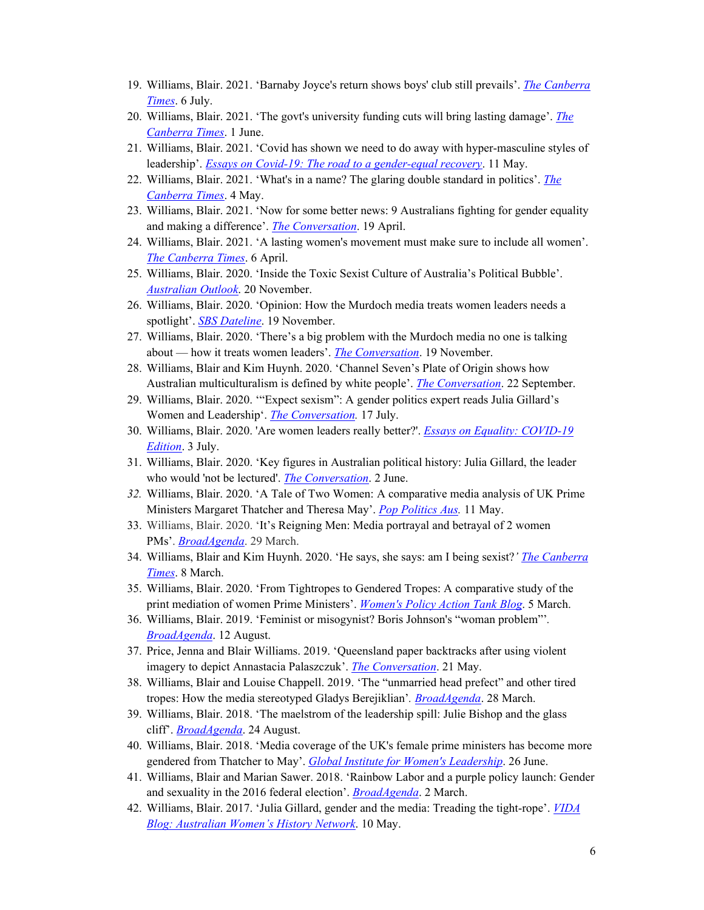- 19. Williams, Blair. 2021. 'Barnaby Joyce's return shows boys' club still prevails'. *The Canberra Times*. 6 July.
- 20. Williams, Blair. 2021. 'The govt's university funding cuts will bring lasting damage'. *The Canberra Times*. 1 June.
- 21. Williams, Blair. 2021. 'Covid has shown we need to do away with hyper-masculine styles of leadership'. *Essays on Covid-19: The road to a gender-equal recovery*. 11 May.
- 22. Williams, Blair. 2021. 'What's in a name? The glaring double standard in politics'. *The Canberra Times*. 4 May.
- 23. Williams, Blair. 2021. 'Now for some better news: 9 Australians fighting for gender equality and making a difference'. *The Conversation*. 19 April.
- 24. Williams, Blair. 2021. 'A lasting women's movement must make sure to include all women'. *The Canberra Times*. 6 April.
- 25. Williams, Blair. 2020. 'Inside the Toxic Sexist Culture of Australia's Political Bubble'. *Australian Outlook*. 20 November.
- 26. Williams, Blair. 2020. 'Opinion: How the Murdoch media treats women leaders needs a spotlight'. *SBS Dateline*. 19 November.
- 27. Williams, Blair. 2020. 'There's a big problem with the Murdoch media no one is talking about — how it treats women leaders'. *The Conversation*. 19 November.
- 28. Williams, Blair and Kim Huynh. 2020. 'Channel Seven's Plate of Origin shows how Australian multiculturalism is defined by white people'. *The Conversation*. 22 September.
- 29. Williams, Blair. 2020. '"Expect sexism": A gender politics expert reads Julia Gillard's Women and Leadership'. *The Conversation.* 17 July.
- 30. Williams, Blair. 2020. 'Are women leaders really better?'. *Essays on Equality: COVID-19 Edition*. 3 July.
- 31. Williams, Blair. 2020. 'Key figures in Australian political history: Julia Gillard, the leader who would 'not be lectured'. *The Conversation*. 2 June.
- *32.* Williams, Blair. 2020. 'A Tale of Two Women: A comparative media analysis of UK Prime Ministers Margaret Thatcher and Theresa May'. *Pop Politics Aus.* 11 May.
- 33. Williams, Blair. 2020. 'It's Reigning Men: Media portrayal and betrayal of 2 women PMs'. *BroadAgenda*. 29 March.
- 34. Williams, Blair and Kim Huynh. 2020. 'He says, she says: am I being sexist?*' The Canberra Times*. 8 March.
- 35. Williams, Blair. 2020. 'From Tightropes to Gendered Tropes: A comparative study of the print mediation of women Prime Ministers'. *Women's Policy Action Tank Blog*. 5 March.
- 36. Williams, Blair. 2019. 'Feminist or misogynist? Boris Johnson's "woman problem"'*. BroadAgenda*. 12 August.
- 37. Price, Jenna and Blair Williams. 2019. 'Queensland paper backtracks after using violent imagery to depict Annastacia Palaszczuk'. *The Conversation*. 21 May.
- 38. Williams, Blair and Louise Chappell. 2019. 'The "unmarried head prefect" and other tired tropes: How the media stereotyped Gladys Berejiklian'*. BroadAgenda*. 28 March.
- 39. Williams, Blair. 2018. 'The maelstrom of the leadership spill: Julie Bishop and the glass cliff'. *BroadAgenda*. 24 August.
- 40. Williams, Blair. 2018. 'Media coverage of the UK's female prime ministers has become more gendered from Thatcher to May'. *Global Institute for Women's Leadership*. 26 June.
- 41. Williams, Blair and Marian Sawer. 2018. 'Rainbow Labor and a purple policy launch: Gender and sexuality in the 2016 federal election'. *BroadAgenda*. 2 March.
- 42. Williams, Blair. 2017. 'Julia Gillard, gender and the media: Treading the tight-rope'. *VIDA Blog: Australian Women's History Network*. 10 May.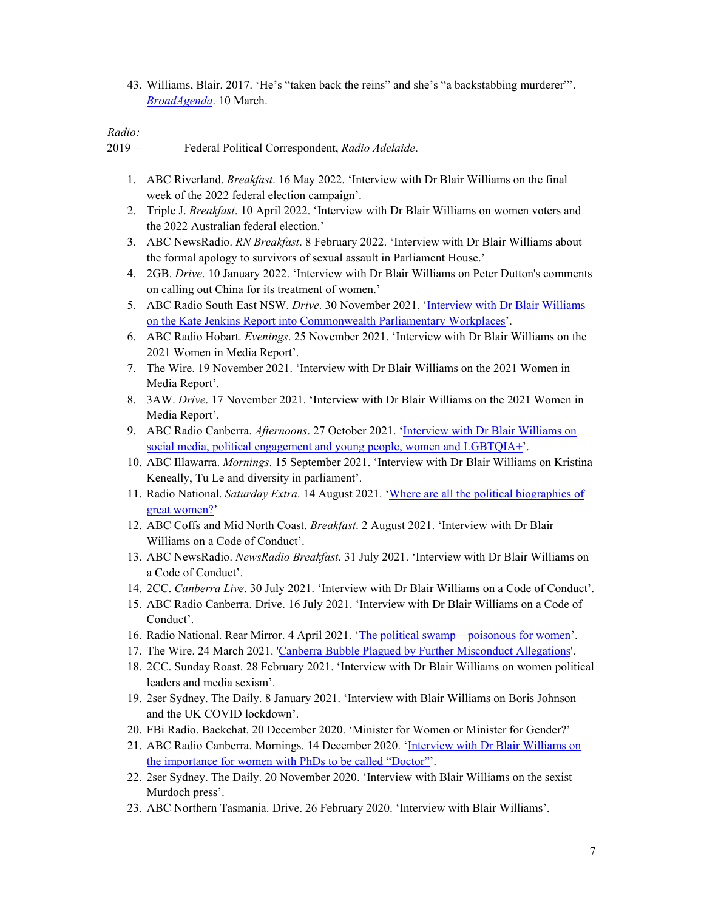43. Williams, Blair. 2017. 'He's "taken back the reins" and she's "a backstabbing murderer"'. *BroadAgenda*. 10 March.

# *Radio:*

2019 – Federal Political Correspondent, *Radio Adelaide*.

- 1. ABC Riverland. *Breakfast*. 16 May 2022. 'Interview with Dr Blair Williams on the final week of the 2022 federal election campaign'.
- 2. Triple J. *Breakfast*. 10 April 2022. 'Interview with Dr Blair Williams on women voters and the 2022 Australian federal election.'
- 3. ABC NewsRadio. *RN Breakfast*. 8 February 2022. 'Interview with Dr Blair Williams about the formal apology to survivors of sexual assault in Parliament House.'
- 4. 2GB. *Drive*. 10 January 2022. 'Interview with Dr Blair Williams on Peter Dutton's comments on calling out China for its treatment of women.'
- 5. ABC Radio South East NSW. *Drive*. 30 November 2021. 'Interview with Dr Blair Williams on the Kate Jenkins Report into Commonwealth Parliamentary Workplaces'.
- 6. ABC Radio Hobart. *Evenings*. 25 November 2021. 'Interview with Dr Blair Williams on the 2021 Women in Media Report'.
- 7. The Wire. 19 November 2021. 'Interview with Dr Blair Williams on the 2021 Women in Media Report'.
- 8. 3AW. *Drive*. 17 November 2021. 'Interview with Dr Blair Williams on the 2021 Women in Media Report'.
- 9. ABC Radio Canberra. *Afternoons*. 27 October 2021. 'Interview with Dr Blair Williams on social media, political engagement and young people, women and LGBTQIA+'.
- 10. ABC Illawarra. *Mornings*. 15 September 2021. 'Interview with Dr Blair Williams on Kristina Keneally, Tu Le and diversity in parliament'.
- 11. Radio National. *Saturday Extra*. 14 August 2021. 'Where are all the political biographies of great women?'
- 12. ABC Coffs and Mid North Coast. *Breakfast*. 2 August 2021. 'Interview with Dr Blair Williams on a Code of Conduct'.
- 13. ABC NewsRadio. *NewsRadio Breakfast*. 31 July 2021. 'Interview with Dr Blair Williams on a Code of Conduct'.
- 14. 2CC. *Canberra Live*. 30 July 2021. 'Interview with Dr Blair Williams on a Code of Conduct'.
- 15. ABC Radio Canberra. Drive. 16 July 2021. 'Interview with Dr Blair Williams on a Code of Conduct'.
- 16. Radio National. Rear Mirror. 4 April 2021. 'The political swamp—poisonous for women'.
- 17. The Wire. 24 March 2021. 'Canberra Bubble Plagued by Further Misconduct Allegations'.
- 18. 2CC. Sunday Roast. 28 February 2021. 'Interview with Dr Blair Williams on women political leaders and media sexism'.
- 19. 2ser Sydney. The Daily. 8 January 2021. 'Interview with Blair Williams on Boris Johnson and the UK COVID lockdown'.
- 20. FBi Radio. Backchat. 20 December 2020. 'Minister for Women or Minister for Gender?'
- 21. ABC Radio Canberra. Mornings. 14 December 2020. 'Interview with Dr Blair Williams on the importance for women with PhDs to be called "Doctor"'.
- 22. 2ser Sydney. The Daily. 20 November 2020. 'Interview with Blair Williams on the sexist Murdoch press'.
- 23. ABC Northern Tasmania. Drive. 26 February 2020. 'Interview with Blair Williams'.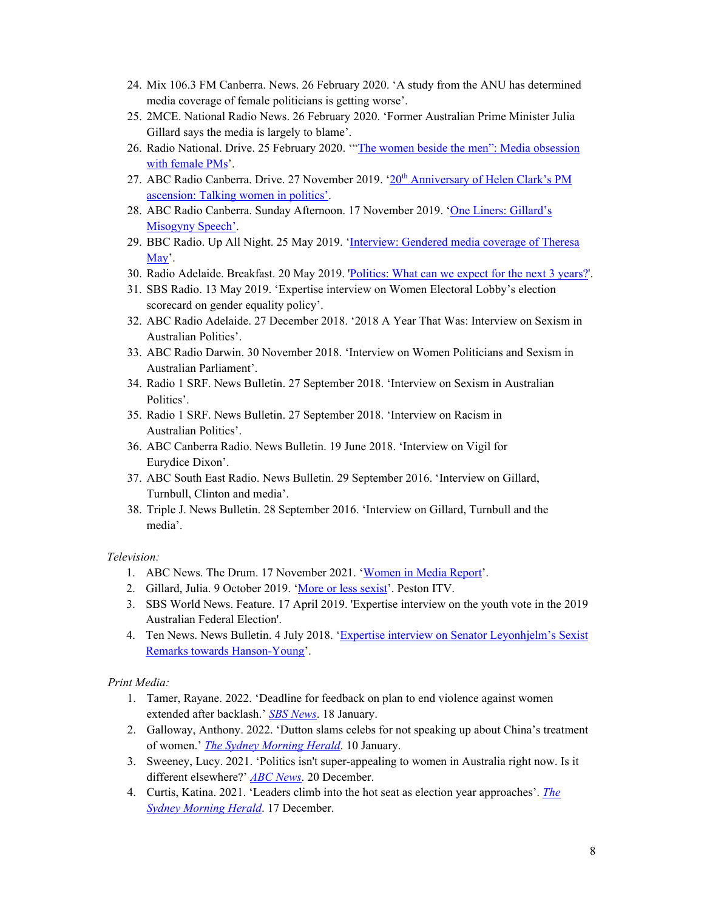- 24. Mix 106.3 FM Canberra. News. 26 February 2020. 'A study from the ANU has determined media coverage of female politicians is getting worse'.
- 25. 2MCE. National Radio News. 26 February 2020. 'Former Australian Prime Minister Julia Gillard says the media is largely to blame'.
- 26. Radio National. Drive. 25 February 2020. '"The women beside the men": Media obsession with female PMs'.
- 27. ABC Radio Canberra. Drive. 27 November 2019. '20<sup>th</sup> Anniversary of Helen Clark's PM ascension: Talking women in politics'.
- 28. ABC Radio Canberra. Sunday Afternoon. 17 November 2019. 'One Liners: Gillard's Misogyny Speech'.
- 29. BBC Radio. Up All Night. 25 May 2019. 'Interview: Gendered media coverage of Theresa May'.
- 30. Radio Adelaide. Breakfast. 20 May 2019. 'Politics: What can we expect for the next 3 years?'.
- 31. SBS Radio. 13 May 2019. 'Expertise interview on Women Electoral Lobby's election scorecard on gender equality policy'.
- 32. ABC Radio Adelaide. 27 December 2018. '2018 A Year That Was: Interview on Sexism in Australian Politics'.
- 33. ABC Radio Darwin. 30 November 2018. 'Interview on Women Politicians and Sexism in Australian Parliament'.
- 34. Radio 1 SRF. News Bulletin. 27 September 2018. 'Interview on Sexism in Australian Politics'.
- 35. Radio 1 SRF. News Bulletin. 27 September 2018. 'Interview on Racism in Australian Politics'.
- 36. ABC Canberra Radio. News Bulletin. 19 June 2018. 'Interview on Vigil for Eurydice Dixon'.
- 37. ABC South East Radio. News Bulletin. 29 September 2016. 'Interview on Gillard, Turnbull, Clinton and media'.
- 38. Triple J. News Bulletin. 28 September 2016. 'Interview on Gillard, Turnbull and the media'.

#### *Television:*

- 1. ABC News. The Drum. 17 November 2021. 'Women in Media Report'.
- 2. Gillard, Julia. 9 October 2019. 'More or less sexist'. Peston ITV.
- 3. SBS World News. Feature. 17 April 2019. 'Expertise interview on the youth vote in the 2019 Australian Federal Election'.
- 4. Ten News. News Bulletin. 4 July 2018. 'Expertise interview on Senator Leyonhjelm's Sexist Remarks towards Hanson-Young'.

### *Print Media:*

- 1. Tamer, Rayane. 2022. 'Deadline for feedback on plan to end violence against women extended after backlash.' *SBS News*. 18 January.
- 2. Galloway, Anthony. 2022. 'Dutton slams celebs for not speaking up about China's treatment of women.' *The Sydney Morning Herald*. 10 January.
- 3. Sweeney, Lucy. 2021. 'Politics isn't super-appealing to women in Australia right now. Is it different elsewhere?' *ABC News*. 20 December.
- 4. Curtis, Katina. 2021. 'Leaders climb into the hot seat as election year approaches'. *The Sydney Morning Herald*. 17 December.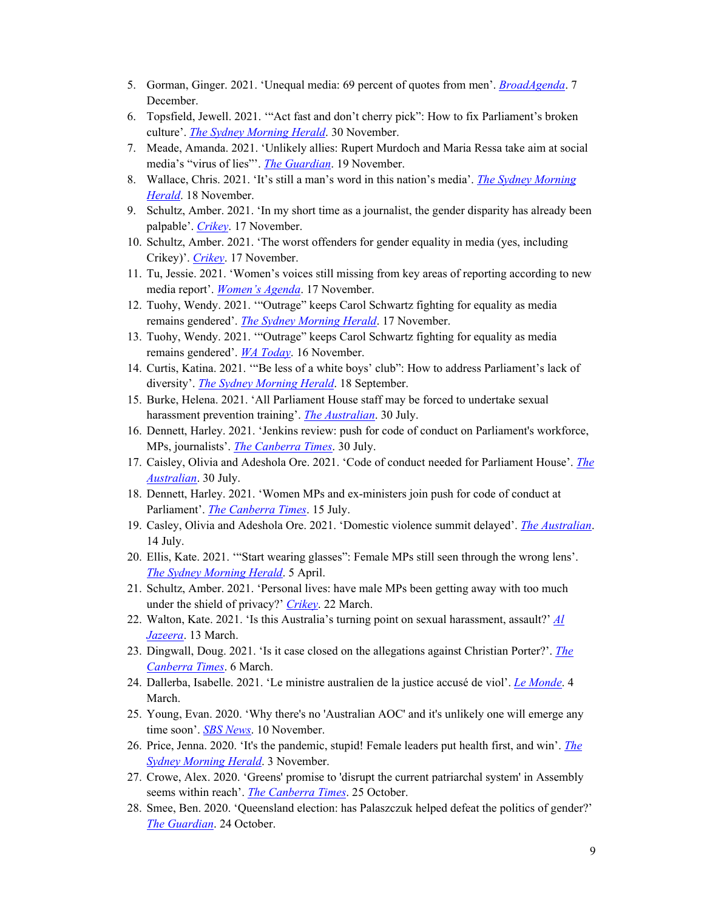- 5. Gorman, Ginger. 2021. 'Unequal media: 69 percent of quotes from men'. *BroadAgenda*. 7 December.
- 6. Topsfield, Jewell. 2021. '"Act fast and don't cherry pick": How to fix Parliament's broken culture'. *The Sydney Morning Herald*. 30 November.
- 7. Meade, Amanda. 2021. 'Unlikely allies: Rupert Murdoch and Maria Ressa take aim at social media's "virus of lies"'. *The Guardian*. 19 November.
- 8. Wallace, Chris. 2021. 'It's still a man's word in this nation's media'. *The Sydney Morning Herald*. 18 November.
- 9. Schultz, Amber. 2021. 'In my short time as a journalist, the gender disparity has already been palpable'. *Crikey*. 17 November.
- 10. Schultz, Amber. 2021. 'The worst offenders for gender equality in media (yes, including Crikey)'. *Crikey*. 17 November.
- 11. Tu, Jessie. 2021. 'Women's voices still missing from key areas of reporting according to new media report'. *Women's Agenda*. 17 November.
- 12. Tuohy, Wendy. 2021. '"Outrage" keeps Carol Schwartz fighting for equality as media remains gendered'. *The Sydney Morning Herald*. 17 November.
- 13. Tuohy, Wendy. 2021. '"Outrage" keeps Carol Schwartz fighting for equality as media remains gendered'. *WA Today*. 16 November.
- 14. Curtis, Katina. 2021. '"Be less of a white boys' club": How to address Parliament's lack of diversity'. *The Sydney Morning Herald*. 18 September.
- 15. Burke, Helena. 2021. 'All Parliament House staff may be forced to undertake sexual harassment prevention training'. *The Australian*. 30 July.
- 16. Dennett, Harley. 2021. 'Jenkins review: push for code of conduct on Parliament's workforce, MPs, journalists'. *The Canberra Times*. 30 July.
- 17. Caisley, Olivia and Adeshola Ore. 2021. 'Code of conduct needed for Parliament House'. *The Australian*. 30 July.
- 18. Dennett, Harley. 2021. 'Women MPs and ex-ministers join push for code of conduct at Parliament'. *The Canberra Times*. 15 July.
- 19. Casley, Olivia and Adeshola Ore. 2021. 'Domestic violence summit delayed'. *The Australian*. 14 July.
- 20. Ellis, Kate. 2021. '"Start wearing glasses": Female MPs still seen through the wrong lens'. *The Sydney Morning Herald*. 5 April.
- 21. Schultz, Amber. 2021. 'Personal lives: have male MPs been getting away with too much under the shield of privacy?' *Crikey*. 22 March.
- 22. Walton, Kate. 2021. 'Is this Australia's turning point on sexual harassment, assault?' *Al Jazeera*. 13 March.
- 23. Dingwall, Doug. 2021. 'Is it case closed on the allegations against Christian Porter?'. *The Canberra Times*. 6 March.
- 24. Dallerba, Isabelle. 2021. 'Le ministre australien de la justice accusé de viol'. *Le Monde*. 4 March.
- 25. Young, Evan. 2020. 'Why there's no 'Australian AOC' and it's unlikely one will emerge any time soon'. *SBS News*. 10 November.
- 26. Price, Jenna. 2020. 'It's the pandemic, stupid! Female leaders put health first, and win'. *The Sydney Morning Herald*. 3 November.
- 27. Crowe, Alex. 2020. 'Greens' promise to 'disrupt the current patriarchal system' in Assembly seems within reach'. *The Canberra Times*. 25 October.
- 28. Smee, Ben. 2020. 'Queensland election: has Palaszczuk helped defeat the politics of gender?' *The Guardian*. 24 October.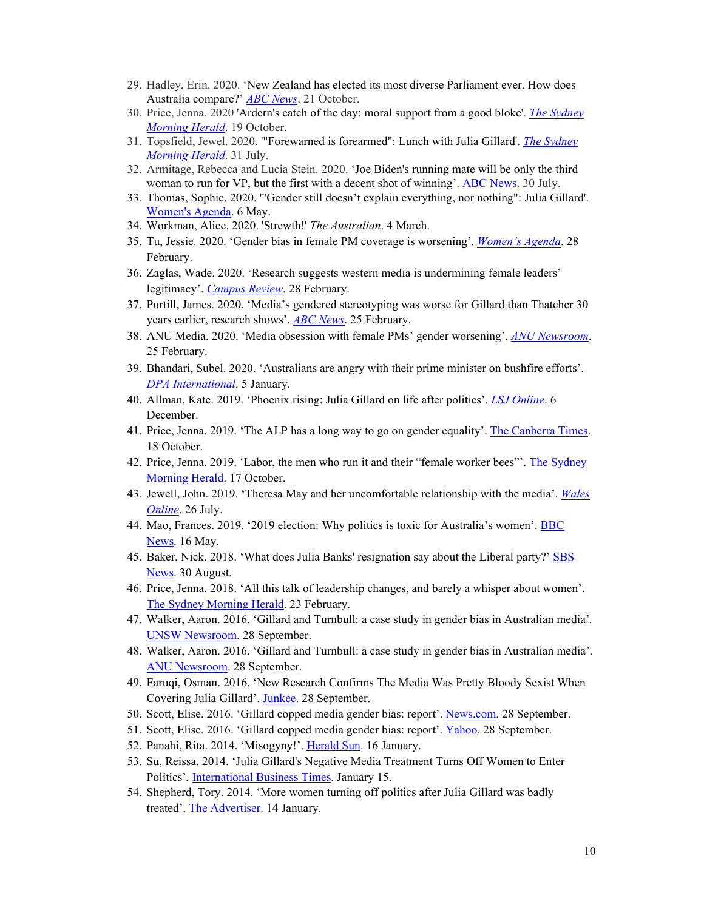- 29. Hadley, Erin. 2020. 'New Zealand has elected its most diverse Parliament ever. How does Australia compare?' *ABC News*. 21 October.
- 30. Price, Jenna. 2020 'Ardern's catch of the day: moral support from a good bloke'. *The Sydney Morning Herald*. 19 October.
- 31. Topsfield, Jewel. 2020. '"Forewarned is forearmed": Lunch with Julia Gillard'. *The Sydney Morning Herald*. 31 July.
- 32. Armitage, Rebecca and Lucia Stein. 2020. 'Joe Biden's running mate will be only the third woman to run for VP, but the first with a decent shot of winning'. ABC News. 30 July.
- 33. Thomas, Sophie. 2020. '"Gender still doesn't explain everything, nor nothing": Julia Gillard'. Women's Agenda. 6 May.
- 34. Workman, Alice. 2020. 'Strewth!' *The Australian*. 4 March.
- 35. Tu, Jessie. 2020. 'Gender bias in female PM coverage is worsening'. *Women's Agenda*. 28 February.
- 36. Zaglas, Wade. 2020. 'Research suggests western media is undermining female leaders' legitimacy'. *Campus Review*. 28 February.
- 37. Purtill, James. 2020. 'Media's gendered stereotyping was worse for Gillard than Thatcher 30 years earlier, research shows'. *ABC News*. 25 February.
- 38. ANU Media. 2020. 'Media obsession with female PMs' gender worsening'. *ANU Newsroom*. 25 February.
- 39. Bhandari, Subel. 2020. 'Australians are angry with their prime minister on bushfire efforts'. *DPA International*. 5 January.
- 40. Allman, Kate. 2019. 'Phoenix rising: Julia Gillard on life after politics'. *LSJ Online*. 6 December.
- 41. Price, Jenna. 2019. 'The ALP has a long way to go on gender equality'. The Canberra Times. 18 October.
- 42. Price, Jenna. 2019. 'Labor, the men who run it and their "female worker bees"'. The Sydney Morning Herald. 17 October.
- 43. Jewell, John. 2019. 'Theresa May and her uncomfortable relationship with the media'. *Wales Online*. 26 July.
- 44. Mao, Frances. 2019. '2019 election: Why politics is toxic for Australia's women'. BBC News. 16 May.
- 45. Baker, Nick. 2018. 'What does Julia Banks' resignation say about the Liberal party?' SBS News. 30 August.
- 46. Price, Jenna. 2018. 'All this talk of leadership changes, and barely a whisper about women'. The Sydney Morning Herald. 23 February.
- 47. Walker, Aaron. 2016. 'Gillard and Turnbull: a case study in gender bias in Australian media'*.*  UNSW Newsroom. 28 September.
- 48. Walker, Aaron. 2016. 'Gillard and Turnbull: a case study in gender bias in Australian media'. ANU Newsroom. 28 September.
- 49. Faruqi, Osman. 2016. 'New Research Confirms The Media Was Pretty Bloody Sexist When Covering Julia Gillard'. Junkee. 28 September.
- 50. Scott, Elise. 2016. 'Gillard copped media gender bias: report'. News.com. 28 September.
- 51. Scott, Elise. 2016. 'Gillard copped media gender bias: report'. Yahoo. 28 September.
- 52. Panahi, Rita. 2014. 'Misogyny!'. Herald Sun. 16 January.
- 53. Su, Reissa. 2014. 'Julia Gillard's Negative Media Treatment Turns Off Women to Enter Politics'*.* International Business Times. January 15.
- 54. Shepherd, Tory. 2014. 'More women turning off politics after Julia Gillard was badly treated'. The Advertiser. 14 January.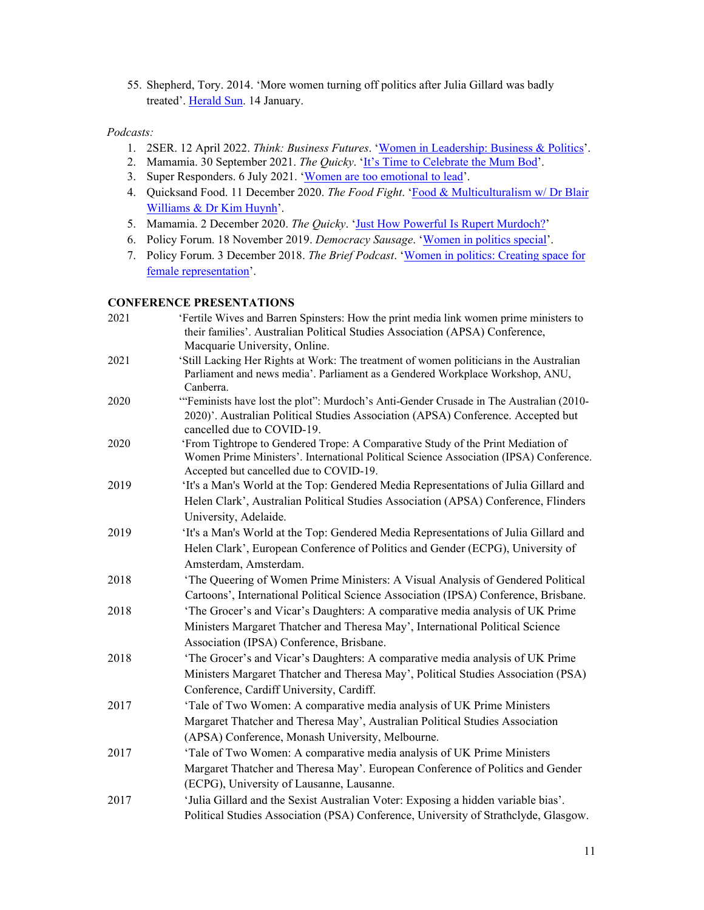55. Shepherd, Tory. 2014. 'More women turning off politics after Julia Gillard was badly treated'. Herald Sun. 14 January.

## *Podcasts:*

- 1. 2SER. 12 April 2022. *Think: Business Futures*. 'Women in Leadership: Business & Politics'.
- 2. Mamamia. 30 September 2021. *The Quicky*. 'It's Time to Celebrate the Mum Bod'.
- 3. Super Responders. 6 July 2021. 'Women are too emotional to lead'.
- 4. Quicksand Food. 11 December 2020. *The Food Fight*. 'Food & Multiculturalism w/ Dr Blair Williams & Dr Kim Huynh'.
- 5. Mamamia. 2 December 2020. *The Quicky*. 'Just How Powerful Is Rupert Murdoch?'
- 6. Policy Forum. 18 November 2019. *Democracy Sausage*. 'Women in politics special'.
- 7. Policy Forum. 3 December 2018. *The Brief Podcast*. 'Women in politics: Creating space for female representation'.

## **CONFERENCE PRESENTATIONS**

| 2021 | 'Fertile Wives and Barren Spinsters: How the print media link women prime ministers to<br>their families'. Australian Political Studies Association (APSA) Conference,<br>Macquarie University, Online.               |
|------|-----------------------------------------------------------------------------------------------------------------------------------------------------------------------------------------------------------------------|
| 2021 | 'Still Lacking Her Rights at Work: The treatment of women politicians in the Australian<br>Parliament and news media'. Parliament as a Gendered Workplace Workshop, ANU,<br>Canberra.                                 |
| 2020 | "Feminists have lost the plot": Murdoch's Anti-Gender Crusade in The Australian (2010-<br>2020)'. Australian Political Studies Association (APSA) Conference. Accepted but<br>cancelled due to COVID-19.              |
| 2020 | 'From Tightrope to Gendered Trope: A Comparative Study of the Print Mediation of<br>Women Prime Ministers'. International Political Science Association (IPSA) Conference.<br>Accepted but cancelled due to COVID-19. |
| 2019 | 'It's a Man's World at the Top: Gendered Media Representations of Julia Gillard and<br>Helen Clark', Australian Political Studies Association (APSA) Conference, Flinders<br>University, Adelaide.                    |
| 2019 | 'It's a Man's World at the Top: Gendered Media Representations of Julia Gillard and<br>Helen Clark', European Conference of Politics and Gender (ECPG), University of<br>Amsterdam, Amsterdam.                        |
| 2018 | 'The Queering of Women Prime Ministers: A Visual Analysis of Gendered Political<br>Cartoons', International Political Science Association (IPSA) Conference, Brisbane.                                                |
| 2018 | 'The Grocer's and Vicar's Daughters: A comparative media analysis of UK Prime<br>Ministers Margaret Thatcher and Theresa May', International Political Science<br>Association (IPSA) Conference, Brisbane.            |
| 2018 | 'The Grocer's and Vicar's Daughters: A comparative media analysis of UK Prime<br>Ministers Margaret Thatcher and Theresa May', Political Studies Association (PSA)<br>Conference, Cardiff University, Cardiff.        |
| 2017 | 'Tale of Two Women: A comparative media analysis of UK Prime Ministers<br>Margaret Thatcher and Theresa May', Australian Political Studies Association<br>(APSA) Conference, Monash University, Melbourne.            |
| 2017 | 'Tale of Two Women: A comparative media analysis of UK Prime Ministers<br>Margaret Thatcher and Theresa May'. European Conference of Politics and Gender<br>(ECPG), University of Lausanne, Lausanne.                 |
| 2017 | 'Julia Gillard and the Sexist Australian Voter: Exposing a hidden variable bias'.<br>Political Studies Association (PSA) Conference, University of Strathclyde, Glasgow.                                              |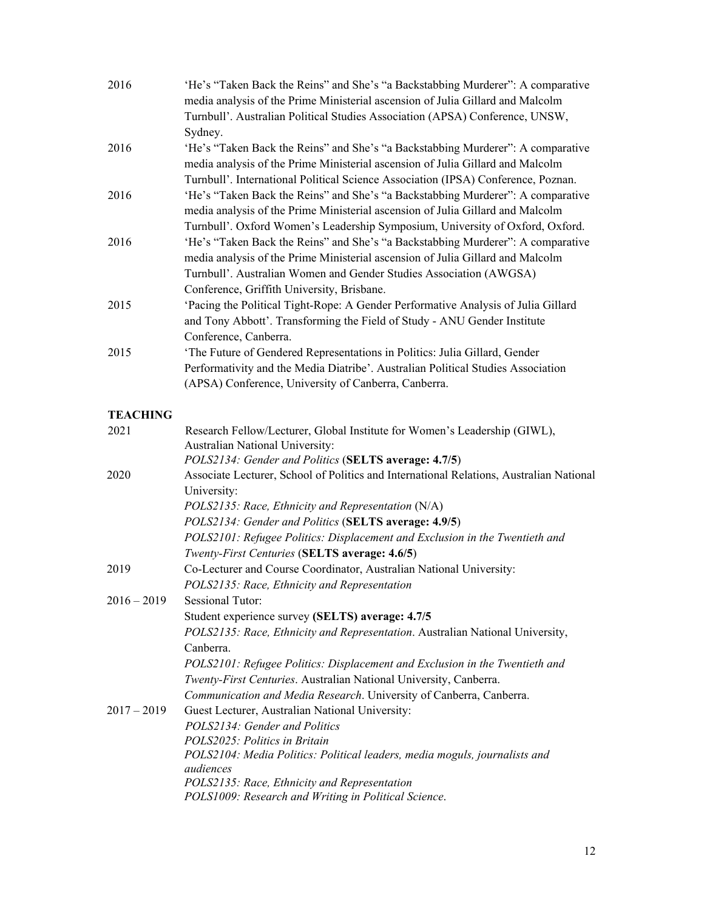| 2016            | 'He's "Taken Back the Reins" and She's "a Backstabbing Murderer": A comparative<br>media analysis of the Prime Ministerial ascension of Julia Gillard and Malcolm<br>Turnbull'. Australian Political Studies Association (APSA) Conference, UNSW,<br>Sydney.                                                                                                                                         |
|-----------------|------------------------------------------------------------------------------------------------------------------------------------------------------------------------------------------------------------------------------------------------------------------------------------------------------------------------------------------------------------------------------------------------------|
| 2016            | 'He's "Taken Back the Reins" and She's "a Backstabbing Murderer": A comparative<br>media analysis of the Prime Ministerial ascension of Julia Gillard and Malcolm<br>Turnbull'. International Political Science Association (IPSA) Conference, Poznan.                                                                                                                                               |
| 2016            | 'He's "Taken Back the Reins" and She's "a Backstabbing Murderer": A comparative<br>media analysis of the Prime Ministerial ascension of Julia Gillard and Malcolm<br>Turnbull'. Oxford Women's Leadership Symposium, University of Oxford, Oxford.                                                                                                                                                   |
| 2016            | 'He's "Taken Back the Reins" and She's "a Backstabbing Murderer": A comparative<br>media analysis of the Prime Ministerial ascension of Julia Gillard and Malcolm<br>Turnbull'. Australian Women and Gender Studies Association (AWGSA)<br>Conference, Griffith University, Brisbane.                                                                                                                |
| 2015            | 'Pacing the Political Tight-Rope: A Gender Performative Analysis of Julia Gillard<br>and Tony Abbott'. Transforming the Field of Study - ANU Gender Institute<br>Conference, Canberra.                                                                                                                                                                                                               |
| 2015            | 'The Future of Gendered Representations in Politics: Julia Gillard, Gender<br>Performativity and the Media Diatribe'. Australian Political Studies Association<br>(APSA) Conference, University of Canberra, Canberra.                                                                                                                                                                               |
| <b>TEACHING</b> |                                                                                                                                                                                                                                                                                                                                                                                                      |
| 2021            | Research Fellow/Lecturer, Global Institute for Women's Leadership (GIWL),<br>Australian National University:<br>POLS2134: Gender and Politics (SELTS average: 4.7/5)                                                                                                                                                                                                                                 |
| 2020            | Associate Lecturer, School of Politics and International Relations, Australian National<br>University:<br>POLS2135: Race, Ethnicity and Representation (N/A)<br>POLS2134: Gender and Politics (SELTS average: 4.9/5)<br>POLS2101: Refugee Politics: Displacement and Exclusion in the Twentieth and<br>Twenty-First Centuries (SELTS average: 4.6/5)                                                 |
| 2019            | Co-Lecturer and Course Coordinator, Australian National University:<br>POLS2135: Race, Ethnicity and Representation                                                                                                                                                                                                                                                                                  |
| $2016 - 2019$   | <b>Sessional Tutor:</b><br>Student experience survey (SELTS) average: 4.7/5<br>POLS2135: Race, Ethnicity and Representation. Australian National University,<br>Canberra.<br>POLS2101: Refugee Politics: Displacement and Exclusion in the Twentieth and<br>Twenty-First Centuries. Australian National University, Canberra.<br>Communication and Media Research. University of Canberra, Canberra. |
| $2017 - 2019$   | Guest Lecturer, Australian National University:<br>POLS2134: Gender and Politics<br>POLS2025: Politics in Britain<br>POLS2104: Media Politics: Political leaders, media moguls, journalists and<br>audiences<br>POLS2135: Race, Ethnicity and Representation<br>POLS1009: Research and Writing in Political Science.                                                                                 |